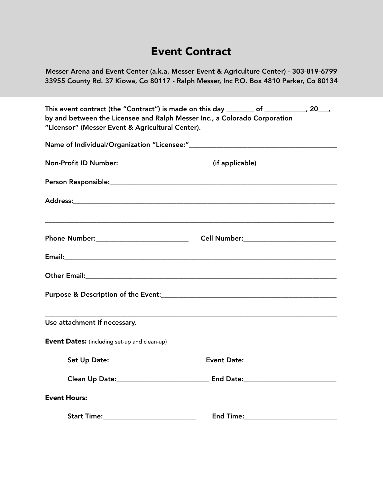### Event Contract

Messer Arena and Event Center (a.k.a. Messer Event & Agriculture Center) - 303-819-6799 33955 County Rd. 37 Kiowa, Co 80117 - Ralph Messer, Inc P.O. Box 4810 Parker, Co 80134

| This event contract (the "Contract") is made on this day ________ of ___________, 20___,                                      |                               |  |
|-------------------------------------------------------------------------------------------------------------------------------|-------------------------------|--|
| by and between the Licensee and Ralph Messer Inc., a Colorado Corporation<br>"Licensor" (Messer Event & Agricultural Center). |                               |  |
|                                                                                                                               |                               |  |
|                                                                                                                               |                               |  |
|                                                                                                                               |                               |  |
|                                                                                                                               |                               |  |
|                                                                                                                               |                               |  |
|                                                                                                                               |                               |  |
|                                                                                                                               |                               |  |
|                                                                                                                               |                               |  |
| Use attachment if necessary.                                                                                                  |                               |  |
| <b>Event Dates:</b> (including set-up and clean-up)                                                                           |                               |  |
|                                                                                                                               |                               |  |
|                                                                                                                               |                               |  |
| <b>Event Hours:</b>                                                                                                           |                               |  |
|                                                                                                                               | End Time:____________________ |  |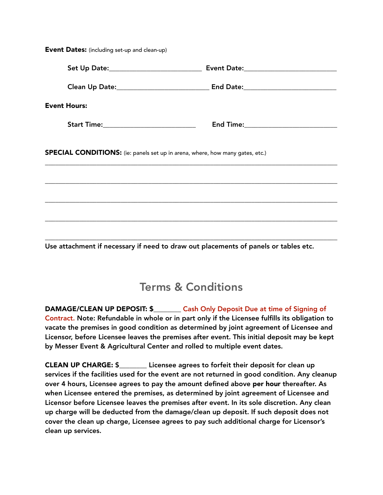| Set Up Date:______________________________                                     |
|--------------------------------------------------------------------------------|
|                                                                                |
|                                                                                |
| Start Time:___________________________<br>End Time:___________________________ |
| SPECIAL CONDITIONS: (ie: panels set up in arena, where, how many gates, etc.)  |
|                                                                                |
|                                                                                |
|                                                                                |
|                                                                                |

Event Dates: (including set-up and clean-up)

Use attachment if necessary if need to draw out placements of panels or tables etc.

## Terms & Conditions

DAMAGE/CLEAN UP DEPOSIT: \$\_\_\_\_\_\_\_\_ Cash Only Deposit Due at time of Signing of Contract. Note: Refundable in whole or in part only if the Licensee fulfills its obligation to vacate the premises in good condition as determined by joint agreement of Licensee and Licensor, before Licensee leaves the premises after event. This initial deposit may be kept by Messer Event & Agricultural Center and rolled to multiple event dates.

CLEAN UP CHARGE: \$\_\_\_\_\_\_\_\_ Licensee agrees to forfeit their deposit for clean up services if the facilities used for the event are not returned in good condition. Any cleanup over 4 hours, Licensee agrees to pay the amount defined above per hour thereafter. As when Licensee entered the premises, as determined by joint agreement of Licensee and Licensor before Licensee leaves the premises after event. In its sole discretion. Any clean up charge will be deducted from the damage/clean up deposit. If such deposit does not cover the clean up charge, Licensee agrees to pay such additional charge for Licensor's clean up services.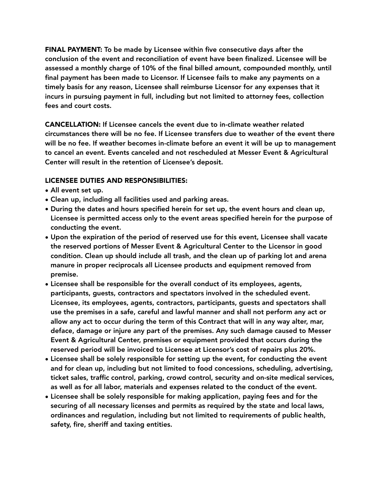FINAL PAYMENT: To be made by Licensee within five consecutive days after the conclusion of the event and reconciliation of event have been finalized. Licensee will be assessed a monthly charge of 10% of the final billed amount, compounded monthly, until final payment has been made to Licensor. If Licensee fails to make any payments on a timely basis for any reason, Licensee shall reimburse Licensor for any expenses that it incurs in pursuing payment in full, including but not limited to attorney fees, collection fees and court costs.

CANCELLATION: If Licensee cancels the event due to in-climate weather related circumstances there will be no fee. If Licensee transfers due to weather of the event there will be no fee. If weather becomes in-climate before an event it will be up to management to cancel an event. Events canceled and not rescheduled at Messer Event & Agricultural Center will result in the retention of Licensee's deposit.

#### LICENSEE DUTIES AND RESPONSIBILITIES:

- All event set up.
- Clean up, including all facilities used and parking areas.
- During the dates and hours specified herein for set up, the event hours and clean up, Licensee is permitted access only to the event areas specified herein for the purpose of conducting the event.
- Upon the expiration of the period of reserved use for this event, Licensee shall vacate the reserved portions of Messer Event & Agricultural Center to the Licensor in good condition. Clean up should include all trash, and the clean up of parking lot and arena manure in proper reciprocals all Licensee products and equipment removed from premise.
- Licensee shall be responsible for the overall conduct of its employees, agents, participants, guests, contractors and spectators involved in the scheduled event. Licensee, its employees, agents, contractors, participants, guests and spectators shall use the premises in a safe, careful and lawful manner and shall not perform any act or allow any act to occur during the term of this Contract that will in any way alter, mar, deface, damage or injure any part of the premises. Any such damage caused to Messer Event & Agricultural Center, premises or equipment provided that occurs during the reserved period will be invoiced to Licensee at Licensor's cost of repairs plus 20%.
- Licensee shall be solely responsible for setting up the event, for conducting the event and for clean up, including but not limited to food concessions, scheduling, advertising, ticket sales, traffic control, parking, crowd control, security and on-site medical services, as well as for all labor, materials and expenses related to the conduct of the event.
- Licensee shall be solely responsible for making application, paying fees and for the securing of all necessary licenses and permits as required by the state and local laws, ordinances and regulation, including but not limited to requirements of public health, safety, fire, sheriff and taxing entities.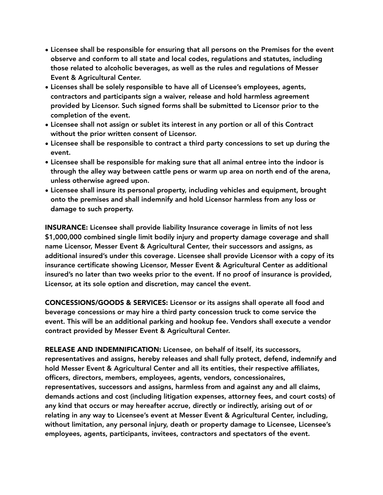- Licensee shall be responsible for ensuring that all persons on the Premises for the event observe and conform to all state and local codes, regulations and statutes, including those related to alcoholic beverages, as well as the rules and regulations of Messer Event & Agricultural Center.
- Licenses shall be solely responsible to have all of Licensee's employees, agents, contractors and participants sign a waiver, release and hold harmless agreement provided by Licensor. Such signed forms shall be submitted to Licensor prior to the completion of the event.
- Licensee shall not assign or sublet its interest in any portion or all of this Contract without the prior written consent of Licensor.
- Licensee shall be responsible to contract a third party concessions to set up during the event.
- Licensee shall be responsible for making sure that all animal entree into the indoor is through the alley way between cattle pens or warm up area on north end of the arena, unless otherwise agreed upon.
- Licensee shall insure its personal property, including vehicles and equipment, brought onto the premises and shall indemnify and hold Licensor harmless from any loss or damage to such property.

INSURANCE: Licensee shall provide liability Insurance coverage in limits of not less \$1,000,000 combined single limit bodily injury and property damage coverage and shall name Licensor, Messer Event & Agricultural Center, their successors and assigns, as additional insured's under this coverage. Licensee shall provide Licensor with a copy of its insurance certificate showing Licensor, Messer Event & Agricultural Center as additional insured's no later than two weeks prior to the event. If no proof of insurance is provided, Licensor, at its sole option and discretion, may cancel the event.

CONCESSIONS/GOODS & SERVICES: Licensor or its assigns shall operate all food and beverage concessions or may hire a third party concession truck to come service the event. This will be an additional parking and hookup fee. Vendors shall execute a vendor contract provided by Messer Event & Agricultural Center.

RELEASE AND INDEMNIFICATION: Licensee, on behalf of itself, its successors, representatives and assigns, hereby releases and shall fully protect, defend, indemnify and hold Messer Event & Agricultural Center and all its entities, their respective affiliates, officers, directors, members, employees, agents, vendors, concessionaires, representatives, successors and assigns, harmless from and against any and all claims, demands actions and cost (including litigation expenses, attorney fees, and court costs) of any kind that occurs or may hereafter accrue, directly or indirectly, arising out of or relating in any way to Licensee's event at Messer Event & Agricultural Center, including, without limitation, any personal injury, death or property damage to Licensee, Licensee's employees, agents, participants, invitees, contractors and spectators of the event.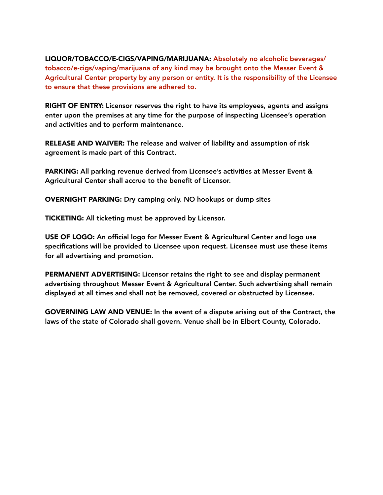LIQUOR/TOBACCO/E-CIGS/VAPING/MARIJUANA: Absolutely no alcoholic beverages/ tobacco/e-cigs/vaping/marijuana of any kind may be brought onto the Messer Event & Agricultural Center property by any person or entity. It is the responsibility of the Licensee to ensure that these provisions are adhered to.

RIGHT OF ENTRY: Licensor reserves the right to have its employees, agents and assigns enter upon the premises at any time for the purpose of inspecting Licensee's operation and activities and to perform maintenance.

RELEASE AND WAIVER: The release and waiver of liability and assumption of risk agreement is made part of this Contract.

PARKING: All parking revenue derived from Licensee's activities at Messer Event & Agricultural Center shall accrue to the benefit of Licensor.

OVERNIGHT PARKING: Dry camping only. NO hookups or dump sites

TICKETING: All ticketing must be approved by Licensor.

USE OF LOGO: An official logo for Messer Event & Agricultural Center and logo use specifications will be provided to Licensee upon request. Licensee must use these items for all advertising and promotion.

PERMANENT ADVERTISING: Licensor retains the right to see and display permanent advertising throughout Messer Event & Agricultural Center. Such advertising shall remain displayed at all times and shall not be removed, covered or obstructed by Licensee.

GOVERNING LAW AND VENUE: In the event of a dispute arising out of the Contract, the laws of the state of Colorado shall govern. Venue shall be in Elbert County, Colorado.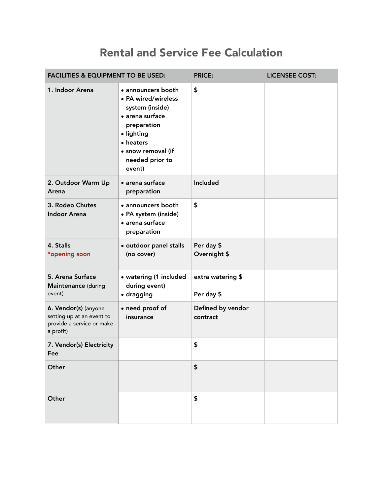## Rental and Service Fee Calculation

| <b>FACILITIES &amp; EQUIPMENT TO BE USED:</b>                                               |                                                                                                                                                                              | <b>PRICE:</b>                   | <b>LICENSEE COST:</b> |
|---------------------------------------------------------------------------------------------|------------------------------------------------------------------------------------------------------------------------------------------------------------------------------|---------------------------------|-----------------------|
| 1. Indoor Arena                                                                             | · announcers booth<br>• PA wired/wireless<br>system (inside)<br>• arena surface<br>preparation<br>· lighting<br>• heaters<br>· snow removal (if<br>needed prior to<br>event) | \$                              |                       |
| 2. Outdoor Warm Up<br>Arena                                                                 | · arena surface<br>preparation                                                                                                                                               | Included                        |                       |
| 3. Rodeo Chutes<br><b>Indoor Arena</b>                                                      | · announcers booth<br>• PA system (inside)<br>· arena surface<br>preparation                                                                                                 | \$                              |                       |
| 4. Stalls<br>*opening soon                                                                  | · outdoor panel stalls<br>(no cover)                                                                                                                                         | Per day \$<br>Overnight \$      |                       |
| 5. Arena Surface<br>Maintenance (during<br>event)                                           | • watering (1 included<br>during event)<br>· dragging                                                                                                                        | extra watering \$<br>Per day \$ |                       |
| 6. Vendor(s) (anyone<br>setting up at an event to<br>provide a service or make<br>a profit) | • need proof of<br>insurance                                                                                                                                                 | Defined by vendor<br>contract   |                       |
| 7. Vendor(s) Electricity<br>Fee                                                             |                                                                                                                                                                              | \$                              |                       |
| Other                                                                                       |                                                                                                                                                                              | $\boldsymbol{\$}$               |                       |
| Other                                                                                       |                                                                                                                                                                              | \$                              |                       |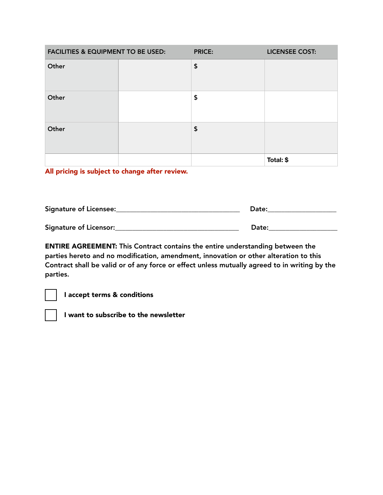| <b>FACILITIES &amp; EQUIPMENT TO BE USED:</b> | <b>PRICE:</b>      | <b>LICENSEE COST:</b> |
|-----------------------------------------------|--------------------|-----------------------|
| Other                                         | $\pmb{\mathsf{S}}$ |                       |
| Other                                         | \$                 |                       |
| Other                                         | \$                 |                       |
|                                               |                    | Total: \$             |

All pricing is subject to change after review.

| Signature of Licensee: | Date: |
|------------------------|-------|
| Signature of Licensor: | Date: |

ENTIRE AGREEMENT: This Contract contains the entire understanding between the parties hereto and no modification, amendment, innovation or other alteration to this Contract shall be valid or of any force or effect unless mutually agreed to in writing by the parties.

I accept terms & conditions



I want to subscribe to the newsletter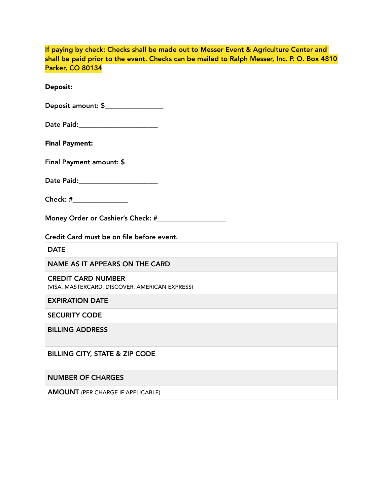| If paying by check: Checks shall be made out to Messer Event & Agriculture Center and<br>shall be paid prior to the event. Checks can be mailed to Ralph Messer, Inc. P. O. Box 4810<br><b>Parker, CO 80134</b> |  |
|-----------------------------------------------------------------------------------------------------------------------------------------------------------------------------------------------------------------|--|
| <b>Deposit:</b>                                                                                                                                                                                                 |  |
| Deposit amount: \$_________________                                                                                                                                                                             |  |
| Date Paid:________________________                                                                                                                                                                              |  |
| <b>Final Payment:</b>                                                                                                                                                                                           |  |
| Final Payment amount: \$                                                                                                                                                                                        |  |
| Date Paid:_______________________                                                                                                                                                                               |  |
| Check: #________________                                                                                                                                                                                        |  |
|                                                                                                                                                                                                                 |  |
| Credit Card must be on file before event.                                                                                                                                                                       |  |
| <b>DATE</b>                                                                                                                                                                                                     |  |
| <b>NAME AS IT APPEARS ON THE CARD</b>                                                                                                                                                                           |  |
| <b>CREDIT CARD NUMBER</b><br>(VISA, MASTERCARD, DISCOVER, AMERICAN EXPRESS)                                                                                                                                     |  |
| <b>EXPIRATION DATE</b>                                                                                                                                                                                          |  |
| <b>SECURITY CODE</b>                                                                                                                                                                                            |  |
| <b>BILLING ADDRESS</b>                                                                                                                                                                                          |  |
| <b>BILLING CITY, STATE &amp; ZIP CODE</b>                                                                                                                                                                       |  |
| <b>NUMBER OF CHARGES</b>                                                                                                                                                                                        |  |
| <b>AMOUNT</b> (PER CHARGE IF APPLICABLE)                                                                                                                                                                        |  |